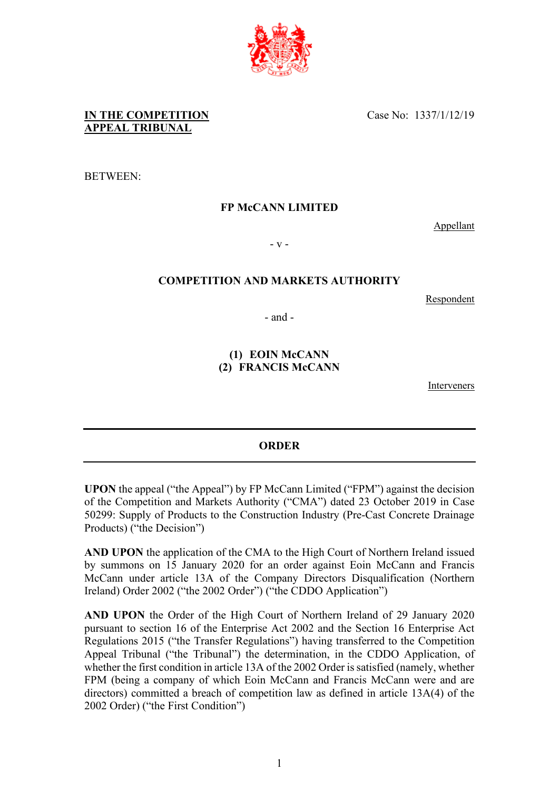Case No: 1337/1/12/19

# **IN THE COMPETITION APPEAL TRIBUNAL**

BETWEEN:

### **FP McCANN LIMITED**

Appellant

- v -

# **COMPETITION AND MARKETS AUTHORITY**

Respondent

- and -

# **(1) EOIN McCANN (2) FRANCIS McCANN**

Interveners

#### **ORDER**

**UPON** the appeal ("the Appeal") by FP McCann Limited ("FPM") against the decision of the Competition and Markets Authority ("CMA") dated 23 October 2019 in Case 50299: Supply of Products to the Construction Industry (Pre-Cast Concrete Drainage Products) ("the Decision")

**AND UPON** the application of the CMA to the High Court of Northern Ireland issued by summons on 15 January 2020 for an order against Eoin McCann and Francis McCann under article 13A of the Company Directors Disqualification (Northern Ireland) Order 2002 ("the 2002 Order") ("the CDDO Application")

**AND UPON** the Order of the High Court of Northern Ireland of 29 January 2020 pursuant to section 16 of the Enterprise Act 2002 and the Section 16 Enterprise Act Regulations 2015 ("the Transfer Regulations") having transferred to the Competition Appeal Tribunal ("the Tribunal") the determination, in the CDDO Application, of whether the first condition in article 13A of the 2002 Order is satisfied (namely, whether FPM (being a company of which Eoin McCann and Francis McCann were and are directors) committed a breach of competition law as defined in article 13A(4) of the 2002 Order) ("the First Condition")

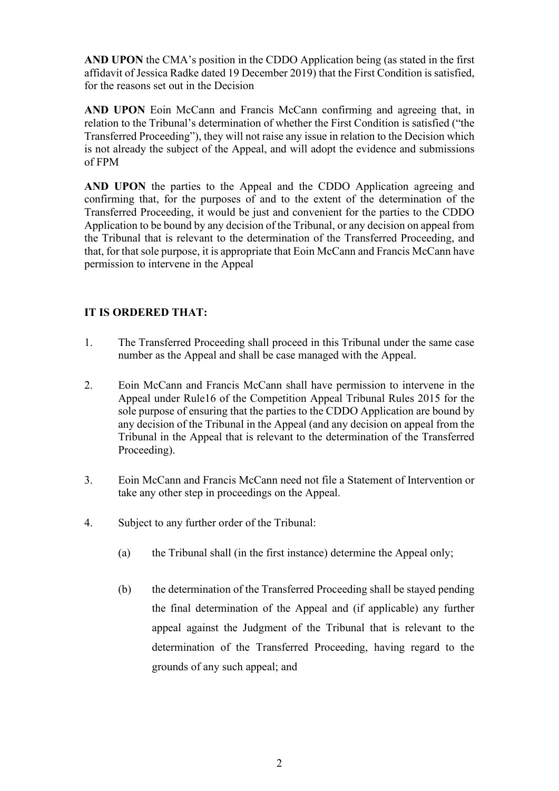**AND UPON** the CMA's position in the CDDO Application being (as stated in the first affidavit of Jessica Radke dated 19 December 2019) that the First Condition is satisfied, for the reasons set out in the Decision

**AND UPON** Eoin McCann and Francis McCann confirming and agreeing that, in relation to the Tribunal's determination of whether the First Condition is satisfied ("the Transferred Proceeding"), they will not raise any issue in relation to the Decision which is not already the subject of the Appeal, and will adopt the evidence and submissions of FPM

**AND UPON** the parties to the Appeal and the CDDO Application agreeing and confirming that, for the purposes of and to the extent of the determination of the Transferred Proceeding, it would be just and convenient for the parties to the CDDO Application to be bound by any decision of the Tribunal, or any decision on appeal from the Tribunal that is relevant to the determination of the Transferred Proceeding, and that, for that sole purpose, it is appropriate that Eoin McCann and Francis McCann have permission to intervene in the Appeal

# **IT IS ORDERED THAT:**

- 1. The Transferred Proceeding shall proceed in this Tribunal under the same case number as the Appeal and shall be case managed with the Appeal.
- 2. Eoin McCann and Francis McCann shall have permission to intervene in the Appeal under Rule16 of the Competition Appeal Tribunal Rules 2015 for the sole purpose of ensuring that the parties to the CDDO Application are bound by any decision of the Tribunal in the Appeal (and any decision on appeal from the Tribunal in the Appeal that is relevant to the determination of the Transferred Proceeding).
- 3. Eoin McCann and Francis McCann need not file a Statement of Intervention or take any other step in proceedings on the Appeal.
- 4. Subject to any further order of the Tribunal:
	- (a) the Tribunal shall (in the first instance) determine the Appeal only;
	- (b) the determination of the Transferred Proceeding shall be stayed pending the final determination of the Appeal and (if applicable) any further appeal against the Judgment of the Tribunal that is relevant to the determination of the Transferred Proceeding, having regard to the grounds of any such appeal; and